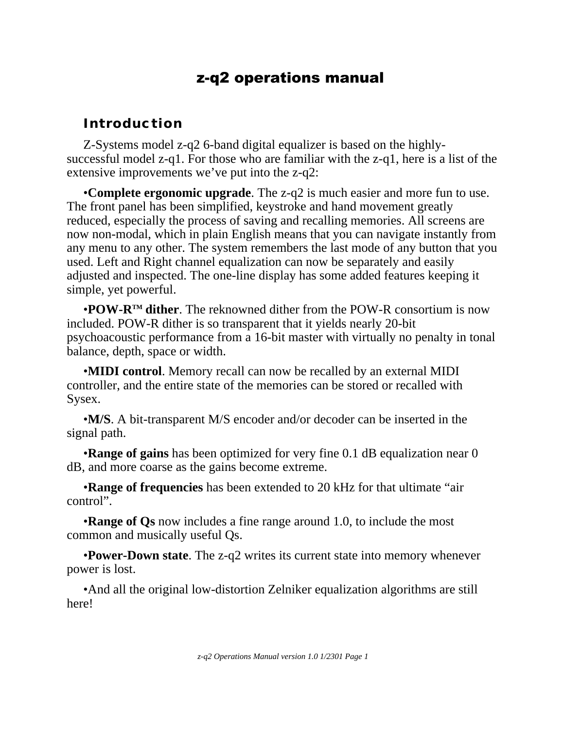# z-q2 operations manual

### **Introduction**

Z-Systems model z-q2 6-band digital equalizer is based on the highlysuccessful model z-q1. For those who are familiar with the z-q1, here is a list of the extensive improvements we've put into the z-q2:

•**Complete ergonomic upgrade**. The z-q2 is much easier and more fun to use. The front panel has been simplified, keystroke and hand movement greatly reduced, especially the process of saving and recalling memories. All screens are now non-modal, which in plain English means that you can navigate instantly from any menu to any other. The system remembers the last mode of any button that you used. Left and Right channel equalization can now be separately and easily adjusted and inspected. The one-line display has some added features keeping it simple, yet powerful.

•**POW-RTM dither**. The reknowned dither from the POW-R consortium is now included. POW-R dither is so transparent that it yields nearly 20-bit psychoacoustic performance from a 16-bit master with virtually no penalty in tonal balance, depth, space or width.

•**MIDI control**. Memory recall can now be recalled by an external MIDI controller, and the entire state of the memories can be stored or recalled with Sysex.

•**M/S**. A bit-transparent M/S encoder and/or decoder can be inserted in the signal path.

•**Range of gains** has been optimized for very fine 0.1 dB equalization near 0 dB, and more coarse as the gains become extreme.

•**Range of frequencies** has been extended to 20 kHz for that ultimate "air control".

•**Range of Qs** now includes a fine range around 1.0, to include the most common and musically useful Qs.

•**Power-Down state**. The z-q2 writes its current state into memory whenever power is lost.

•And all the original low-distortion Zelniker equalization algorithms are still here!

*z-q2 Operations Manual version 1.0 1/2301 Page 1*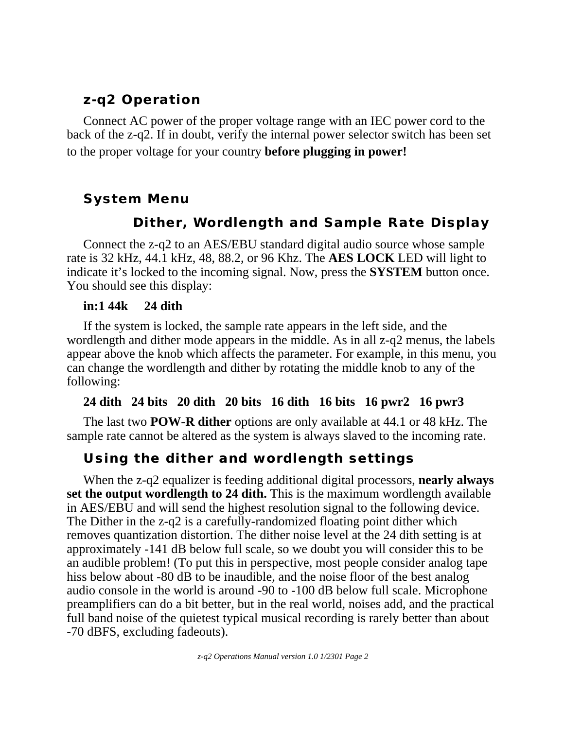# **z-q2 Operation**

Connect AC power of the proper voltage range with an IEC power cord to the back of the z-q2. If in doubt, verify the internal power selector switch has been set to the proper voltage for your country **before plugging in power!**

# **System Menu**

# **Dither, Wordlength and Sample Rate Display**

Connect the z-q2 to an AES/EBU standard digital audio source whose sample rate is 32 kHz, 44.1 kHz, 48, 88.2, or 96 Khz. The **AES LOCK** LED will light to indicate it's locked to the incoming signal. Now, press the **SYSTEM** button once. You should see this display:

#### **in:1 44k 24 dith**

If the system is locked, the sample rate appears in the left side, and the wordlength and dither mode appears in the middle. As in all z-q2 menus, the labels appear above the knob which affects the parameter. For example, in this menu, you can change the wordlength and dither by rotating the middle knob to any of the following:

### **24 dith 24 bits 20 dith 20 bits 16 dith 16 bits 16 pwr2 16 pwr3**

The last two **POW-R dither** options are only available at 44.1 or 48 kHz. The sample rate cannot be altered as the system is always slaved to the incoming rate.

# **Using the dither and wordlength settings**

When the z-q2 equalizer is feeding additional digital processors, **nearly always set the output wordlength to 24 dith.** This is the maximum wordlength available in AES/EBU and will send the highest resolution signal to the following device. The Dither in the z-q2 is a carefully-randomized floating point dither which removes quantization distortion. The dither noise level at the 24 dith setting is at approximately -141 dB below full scale, so we doubt you will consider this to be an audible problem! (To put this in perspective, most people consider analog tape hiss below about -80 dB to be inaudible, and the noise floor of the best analog audio console in the world is around -90 to -100 dB below full scale. Microphone preamplifiers can do a bit better, but in the real world, noises add, and the practical full band noise of the quietest typical musical recording is rarely better than about -70 dBFS, excluding fadeouts).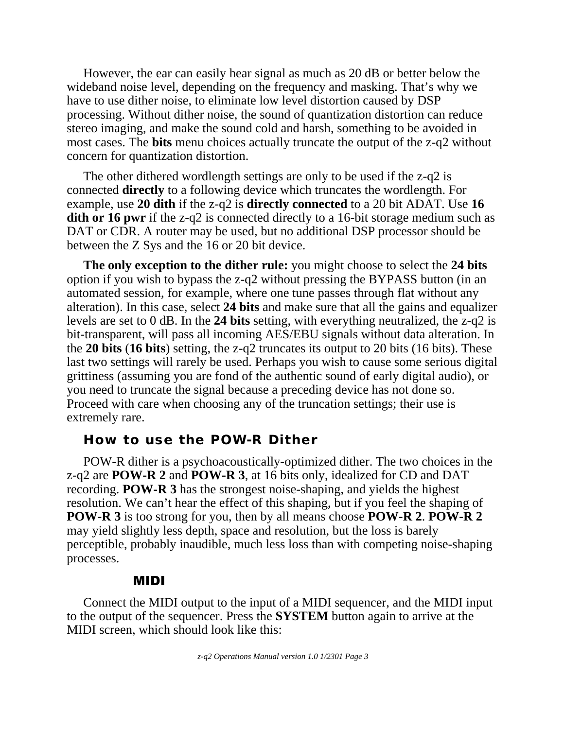However, the ear can easily hear signal as much as 20 dB or better below the wideband noise level, depending on the frequency and masking. That's why we have to use dither noise, to eliminate low level distortion caused by DSP processing. Without dither noise, the sound of quantization distortion can reduce stereo imaging, and make the sound cold and harsh, something to be avoided in most cases. The **bits** menu choices actually truncate the output of the z-q2 without concern for quantization distortion.

The other dithered wordlength settings are only to be used if the z-q2 is connected **directly** to a following device which truncates the wordlength. For example, use **20 dith** if the z-q2 is **directly connected** to a 20 bit ADAT. Use **16 dith or 16 pwr** if the z-q2 is connected directly to a 16-bit storage medium such as DAT or CDR. A router may be used, but no additional DSP processor should be between the Z Sys and the 16 or 20 bit device.

**The only exception to the dither rule:** you might choose to select the **24 bits** option if you wish to bypass the z-q2 without pressing the BYPASS button (in an automated session, for example, where one tune passes through flat without any alteration). In this case, select **24 bits** and make sure that all the gains and equalizer levels are set to 0 dB. In the **24 bits** setting, with everything neutralized, the z-q2 is bit-transparent, will pass all incoming AES/EBU signals without data alteration. In the **20 bits** (**16 bits**) setting, the z-q2 truncates its output to 20 bits (16 bits). These last two settings will rarely be used. Perhaps you wish to cause some serious digital grittiness (assuming you are fond of the authentic sound of early digital audio), or you need to truncate the signal because a preceding device has not done so. Proceed with care when choosing any of the truncation settings; their use is extremely rare.

#### **How to use the POW-R Dither**

POW-R dither is a psychoacoustically-optimized dither. The two choices in the z-q2 are **POW-R 2** and **POW-R 3**, at 16 bits only, idealized for CD and DAT recording. **POW-R 3** has the strongest noise-shaping, and yields the highest resolution. We can't hear the effect of this shaping, but if you feel the shaping of **POW-R 3** is too strong for you, then by all means choose **POW-R 2**. **POW-R 2** may yield slightly less depth, space and resolution, but the loss is barely perceptible, probably inaudible, much less loss than with competing noise-shaping processes.

### MIDI

Connect the MIDI output to the input of a MIDI sequencer, and the MIDI input to the output of the sequencer. Press the **SYSTEM** button again to arrive at the MIDI screen, which should look like this: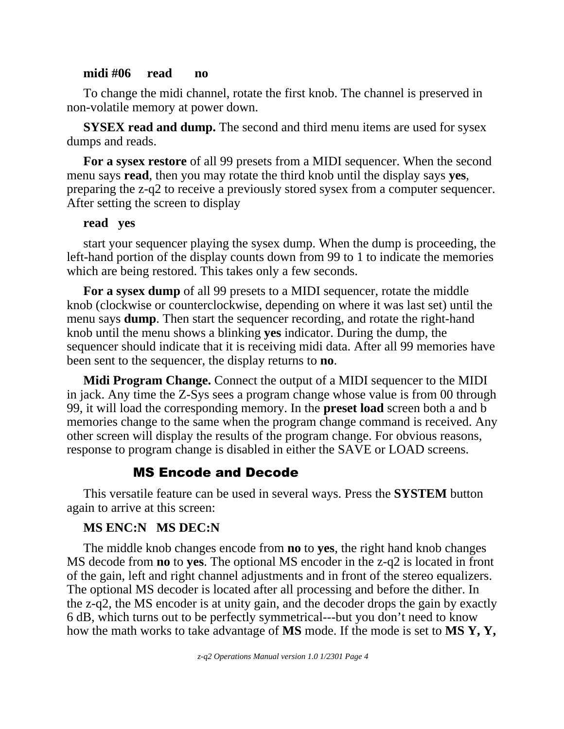#### **midi #06 read no**

To change the midi channel, rotate the first knob. The channel is preserved in non-volatile memory at power down.

**SYSEX read and dump.** The second and third menu items are used for sysex dumps and reads.

**For a sysex restore** of all 99 presets from a MIDI sequencer. When the second menu says **read**, then you may rotate the third knob until the display says **yes**, preparing the z-q2 to receive a previously stored sysex from a computer sequencer. After setting the screen to display

#### **read yes**

start your sequencer playing the sysex dump. When the dump is proceeding, the left-hand portion of the display counts down from 99 to 1 to indicate the memories which are being restored. This takes only a few seconds.

**For a sysex dump** of all 99 presets to a MIDI sequencer, rotate the middle knob (clockwise or counterclockwise, depending on where it was last set) until the menu says **dump**. Then start the sequencer recording, and rotate the right-hand knob until the menu shows a blinking **yes** indicator. During the dump, the sequencer should indicate that it is receiving midi data. After all 99 memories have been sent to the sequencer, the display returns to **no**.

**Midi Program Change.** Connect the output of a MIDI sequencer to the MIDI in jack. Any time the Z-Sys sees a program change whose value is from 00 through 99, it will load the corresponding memory. In the **preset load** screen both a and b memories change to the same when the program change command is received. Any other screen will display the results of the program change. For obvious reasons, response to program change is disabled in either the SAVE or LOAD screens.

### MS Encode and Decode

This versatile feature can be used in several ways. Press the **SYSTEM** button again to arrive at this screen:

#### **MS ENC:N MS DEC:N**

The middle knob changes encode from **no** to **yes**, the right hand knob changes MS decode from **no** to **yes**. The optional MS encoder in the z-q2 is located in front of the gain, left and right channel adjustments and in front of the stereo equalizers. The optional MS decoder is located after all processing and before the dither. In the z-q2, the MS encoder is at unity gain, and the decoder drops the gain by exactly 6 dB, which turns out to be perfectly symmetrical---but you don't need to know how the math works to take advantage of **MS** mode. If the mode is set to **MS Y, Y,**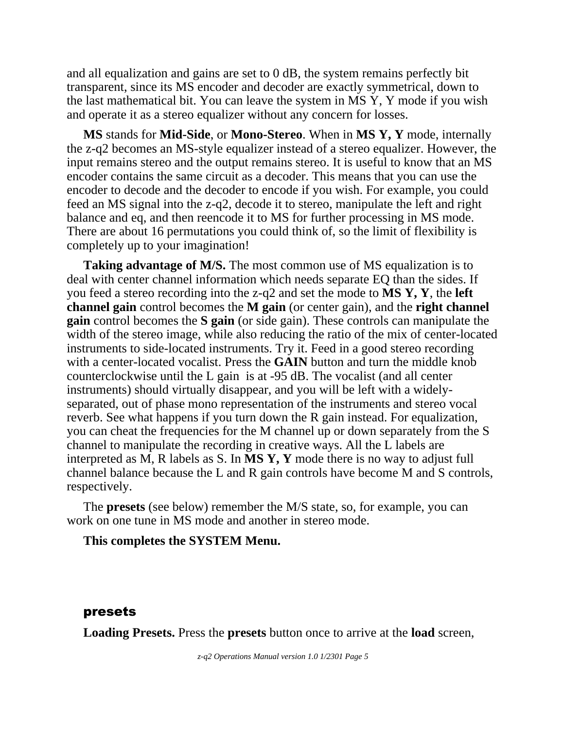and all equalization and gains are set to 0 dB, the system remains perfectly bit transparent, since its MS encoder and decoder are exactly symmetrical, down to the last mathematical bit. You can leave the system in MS Y, Y mode if you wish and operate it as a stereo equalizer without any concern for losses.

**MS** stands for **Mid-Side**, or **Mono-Stereo**. When in **MS Y, Y** mode, internally the z-q2 becomes an MS-style equalizer instead of a stereo equalizer. However, the input remains stereo and the output remains stereo. It is useful to know that an MS encoder contains the same circuit as a decoder. This means that you can use the encoder to decode and the decoder to encode if you wish. For example, you could feed an MS signal into the z-q2, decode it to stereo, manipulate the left and right balance and eq, and then reencode it to MS for further processing in MS mode. There are about 16 permutations you could think of, so the limit of flexibility is completely up to your imagination!

**Taking advantage of M/S.** The most common use of MS equalization is to deal with center channel information which needs separate EQ than the sides. If you feed a stereo recording into the z-q2 and set the mode to **MS Y, Y**, the **left channel gain** control becomes the **M gain** (or center gain), and the **right channel gain** control becomes the **S gain** (or side gain). These controls can manipulate the width of the stereo image, while also reducing the ratio of the mix of center-located instruments to side-located instruments. Try it. Feed in a good stereo recording with a center-located vocalist. Press the **GAIN** button and turn the middle knob counterclockwise until the L gain is at -95 dB. The vocalist (and all center instruments) should virtually disappear, and you will be left with a widelyseparated, out of phase mono representation of the instruments and stereo vocal reverb. See what happens if you turn down the R gain instead. For equalization, you can cheat the frequencies for the M channel up or down separately from the S channel to manipulate the recording in creative ways. All the L labels are interpreted as M, R labels as S. In **MS Y, Y** mode there is no way to adjust full channel balance because the L and R gain controls have become M and S controls, respectively.

The **presets** (see below) remember the M/S state, so, for example, you can work on one tune in MS mode and another in stereo mode.

#### **This completes the SYSTEM Menu.**

#### presets

**Loading Presets.** Press the **presets** button once to arrive at the **load** screen,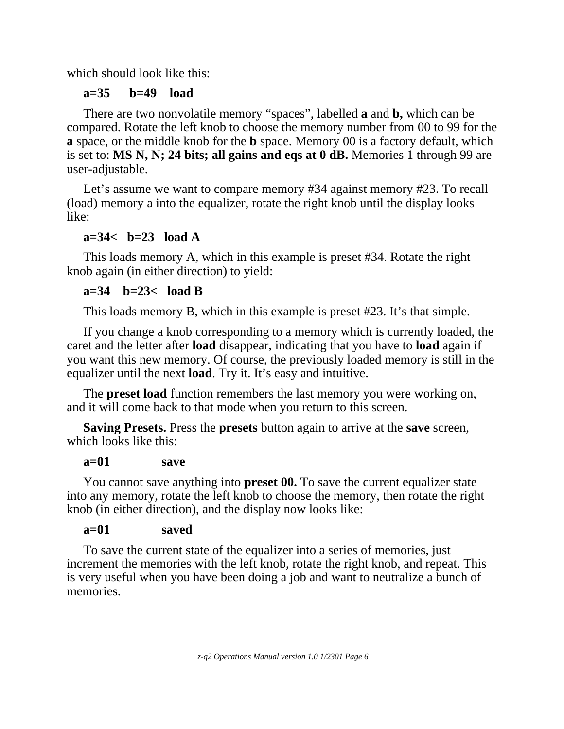which should look like this:

# **a=35 b=49 load**

There are two nonvolatile memory "spaces", labelled **a** and **b,** which can be compared. Rotate the left knob to choose the memory number from 00 to 99 for the **a** space, or the middle knob for the **b** space. Memory 00 is a factory default, which is set to: **MS N, N; 24 bits; all gains and eqs at 0 dB.** Memories 1 through 99 are user-adjustable.

Let's assume we want to compare memory #34 against memory #23. To recall (load) memory a into the equalizer, rotate the right knob until the display looks like:

# **a=34< b=23 load A**

This loads memory A, which in this example is preset #34. Rotate the right knob again (in either direction) to yield:

## **a=34 b=23< load B**

This loads memory B, which in this example is preset #23. It's that simple.

If you change a knob corresponding to a memory which is currently loaded, the caret and the letter after **load** disappear, indicating that you have to **load** again if you want this new memory. Of course, the previously loaded memory is still in the equalizer until the next **load**. Try it. It's easy and intuitive.

The **preset load** function remembers the last memory you were working on, and it will come back to that mode when you return to this screen.

**Saving Presets.** Press the **presets** button again to arrive at the **save** screen, which looks like this:

### **a=01 save**

You cannot save anything into **preset 00.** To save the current equalizer state into any memory, rotate the left knob to choose the memory, then rotate the right knob (in either direction), and the display now looks like:

## **a=01 saved**

To save the current state of the equalizer into a series of memories, just increment the memories with the left knob, rotate the right knob, and repeat. This is very useful when you have been doing a job and want to neutralize a bunch of memories.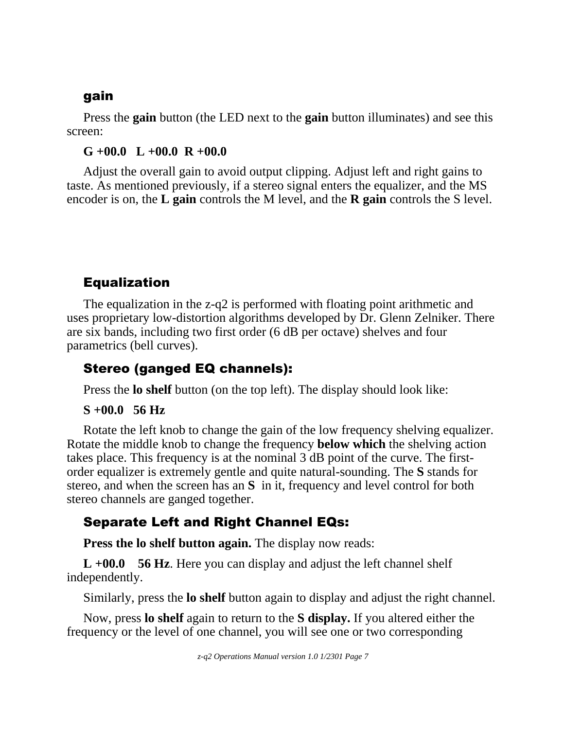## gain

Press the **gain** button (the LED next to the **gain** button illuminates) and see this screen:

### **G +00.0 L +00.0 R +00.0**

Adjust the overall gain to avoid output clipping. Adjust left and right gains to taste. As mentioned previously, if a stereo signal enters the equalizer, and the MS encoder is on, the **L gain** controls the M level, and the **R gain** controls the S level.

# Equalization

The equalization in the z-q2 is performed with floating point arithmetic and uses proprietary low-distortion algorithms developed by Dr. Glenn Zelniker. There are six bands, including two first order (6 dB per octave) shelves and four parametrics (bell curves).

# Stereo (ganged EQ channels):

Press the **lo shelf** button (on the top left). The display should look like:

## **S +00.0 56 Hz**

Rotate the left knob to change the gain of the low frequency shelving equalizer. Rotate the middle knob to change the frequency **below which** the shelving action takes place. This frequency is at the nominal 3 dB point of the curve. The firstorder equalizer is extremely gentle and quite natural-sounding. The **S** stands for stereo, and when the screen has an **S** in it, frequency and level control for both stereo channels are ganged together.

# Separate Left and Right Channel EQs:

**Press the lo shelf button again.** The display now reads:

**L +00.0 56 Hz**. Here you can display and adjust the left channel shelf independently.

Similarly, press the **lo shelf** button again to display and adjust the right channel.

Now, press **lo shelf** again to return to the **S display.** If you altered either the frequency or the level of one channel, you will see one or two corresponding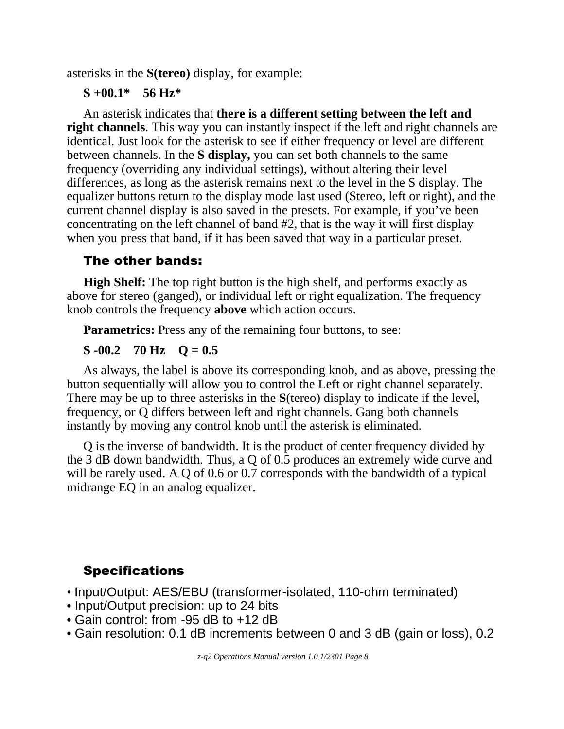asterisks in the **S(tereo)** display, for example:

#### **S +00.1\* 56 Hz\***

An asterisk indicates that **there is a different setting between the left and right channels**. This way you can instantly inspect if the left and right channels are identical. Just look for the asterisk to see if either frequency or level are different between channels. In the **S display,** you can set both channels to the same frequency (overriding any individual settings), without altering their level differences, as long as the asterisk remains next to the level in the S display. The equalizer buttons return to the display mode last used (Stereo, left or right), and the current channel display is also saved in the presets. For example, if you've been concentrating on the left channel of band #2, that is the way it will first display when you press that band, if it has been saved that way in a particular preset.

## The other bands:

**High Shelf:** The top right button is the high shelf, and performs exactly as above for stereo (ganged), or individual left or right equalization. The frequency knob controls the frequency **above** which action occurs.

**Parametrics:** Press any of the remaining four buttons, to see:

### $S = 0.2$  70 Hz  $Q = 0.5$

As always, the label is above its corresponding knob, and as above, pressing the button sequentially will allow you to control the Left or right channel separately. There may be up to three asterisks in the **S**(tereo) display to indicate if the level, frequency, or Q differs between left and right channels. Gang both channels instantly by moving any control knob until the asterisk is eliminated.

Q is the inverse of bandwidth. It is the product of center frequency divided by the 3 dB down bandwidth. Thus, a Q of 0.5 produces an extremely wide curve and will be rarely used. A Q of 0.6 or 0.7 corresponds with the bandwidth of a typical midrange EQ in an analog equalizer.

# **Specifications**

- Input/Output: AES/EBU (transformer-isolated, 110-ohm terminated)
- Input/Output precision: up to 24 bits
- Gain control: from -95 dB to +12 dB
- Gain resolution: 0.1 dB increments between 0 and 3 dB (gain or loss), 0.2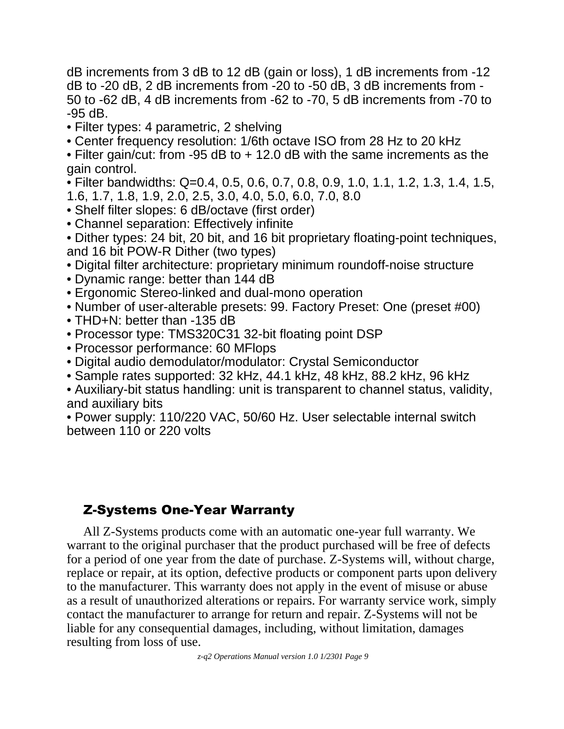dB increments from 3 dB to 12 dB (gain or loss), 1 dB increments from -12 dB to -20 dB, 2 dB increments from -20 to -50 dB, 3 dB increments from - 50 to -62 dB, 4 dB increments from -62 to -70, 5 dB increments from -70 to -95 dB.

- Filter types: 4 parametric, 2 shelving
- Center frequency resolution: 1/6th octave ISO from 28 Hz to 20 kHz

• Filter gain/cut: from -95 dB to + 12.0 dB with the same increments as the gain control.

• Filter bandwidths: Q=0.4, 0.5, 0.6, 0.7, 0.8, 0.9, 1.0, 1.1, 1.2, 1.3, 1.4, 1.5,

- 1.6, 1.7, 1.8, 1.9, 2.0, 2.5, 3.0, 4.0, 5.0, 6.0, 7.0, 8.0
- Shelf filter slopes: 6 dB/octave (first order)
- Channel separation: Effectively infinite

• Dither types: 24 bit, 20 bit, and 16 bit proprietary floating-point techniques, and 16 bit POW-R Dither (two types)

- Digital filter architecture: proprietary minimum roundoff-noise structure
- Dynamic range: better than 144 dB
- Ergonomic Stereo-linked and dual-mono operation
- Number of user-alterable presets: 99. Factory Preset: One (preset #00)
- THD+N: better than -135 dB
- Processor type: TMS320C31 32-bit floating point DSP
- Processor performance: 60 MFlops
- Digital audio demodulator/modulator: Crystal Semiconductor
- Sample rates supported: 32 kHz, 44.1 kHz, 48 kHz, 88.2 kHz, 96 kHz

• Auxiliary-bit status handling: unit is transparent to channel status, validity, and auxiliary bits

• Power supply: 110/220 VAC, 50/60 Hz. User selectable internal switch between 110 or 220 volts

# Z-Systems One-Year Warranty

All Z-Systems products come with an automatic one-year full warranty. We warrant to the original purchaser that the product purchased will be free of defects for a period of one year from the date of purchase. Z-Systems will, without charge, replace or repair, at its option, defective products or component parts upon delivery to the manufacturer. This warranty does not apply in the event of misuse or abuse as a result of unauthorized alterations or repairs. For warranty service work, simply contact the manufacturer to arrange for return and repair. Z-Systems will not be liable for any consequential damages, including, without limitation, damages resulting from loss of use.